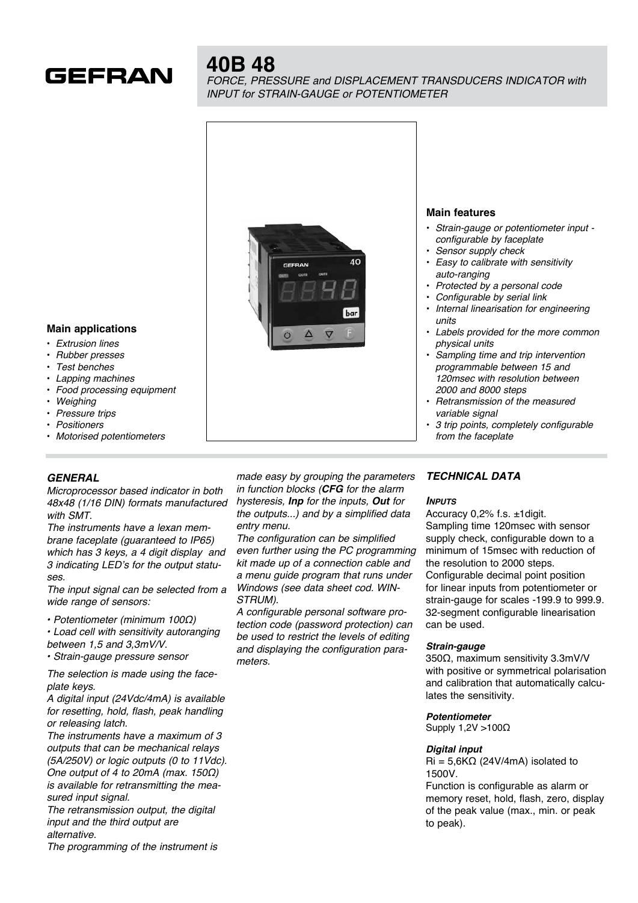

# **40B 48**

*FORCE, PRESSURE and DISPLACEMENT TRANSDUCERS INDICATOR with INPUT for STRAIN-GAUGE or POTENTIOMETER* 



• *3 trip points, completely configurable from the faceplate*

#### • *Extrusion lines* • *Rubber presses*

**Main applications**

- *Test benches*
- *Lapping machines*
- *Food processing equipment*
- *Weighing*
- *Pressure trips*
- *Positioners*
- *Motorised potentiometers*

### *GENERAL*

*Microprocessor based indicator in both 48x48 (1/16 DIN) formats manufactured with SMT.*

*The instruments have a lexan membrane faceplate (guaranteed to IP65) which has 3 keys, a 4 digit display and 3 indicating LED's for the output statuses.*

*The input signal can be selected from a wide range of sensors:*

• Potentiometer (minimum 100Ω)

• Load cell with sensitivity autoranging *between 1,5 and 3,3mV/V.*

• Strain-gauge pressure sensor

*The selection is made using the faceplate keys.*

*A digital input (24Vdc/4mA) is available for resetting, hold, flash, peak handling or releasing latch.*

*The instruments have a maximum of 3 outputs that can be mechanical relays (5A/250V) or logic outputs (0 to 11Vdc).* One output of 4 to 20mA (max. 150Ω) *is available for retransmitting the measured input signal.*

*The retransmission output, the digital input and the third output are alternative.*

*The programming of the instrument is* 

*made easy by grouping the parameters in function blocks (CFG for the alarm hysteresis, Inp for the inputs, Out for the outputs...) and by a simplified data entry menu.*

*The configuration can be simplified even further using the PC programming kit made up of a connection cable and a menu guide program that runs under Windows (see data sheet cod. WIN-STRUM).*

*A configurable personal software protection code (password protection) can be used to restrict the levels of editing and displaying the configuration parameters.*

### *TECHNICAL DATA*

### *Inputs*

Accuracy 0,2% f.s. ±1digit. Sampling time 120msec with sensor supply check, configurable down to a minimum of 15msec with reduction of the resolution to 2000 steps. Configurable decimal point position for linear inputs from potentiometer or strain-gauge for scales -199.9 to 999.9. 32-segment configurable linearisation can be used.

### *Strain-gauge*

350Ω, maximum sensitivity 3.3mV/V with positive or symmetrical polarisation and calibration that automatically calculates the sensitivity.

## *Potentiometer*

Supply 1,2V >100Ω

### *Digital input*

 $\text{Ri} = 5.6 \text{K}\Omega$  (24V/4mA) isolated to 1500V.

Function is configurable as alarm or memory reset, hold, flash, zero, display of the peak value (max., min. or peak to peak).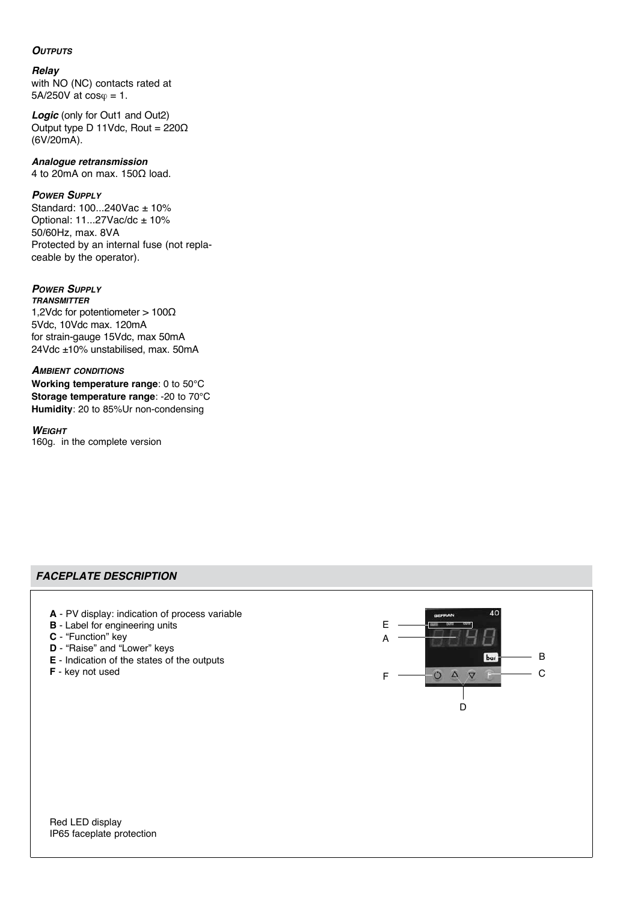### *Outputs*

### *Relay*

with NO (NC) contacts rated at  $5A/250V$  at  $cos\varphi = 1$ .

**Logic** (only for Out1 and Out2) Output type D 11Vdc, Rout = 220Ω (6V/20mA).

# *Analogue retransmission*

4 to 20mA on max. 150Ω load.

### *Power Supply*

Standard: 100...240Vac ± 10% Optional:  $11...27$ Vac/dc  $\pm 10$ % 50/60Hz, max. 8VA Protected by an internal fuse (not replaceable by the operator).

### *Power Supply*

*transmitter* 1,2Vdc for potentiometer > 100Ω 5Vdc, 10Vdc max. 120mA for strain-gauge 15Vdc, max 50mA 24Vdc ±10% unstabilised, max. 50mA

### *Ambient conditions*

**Working temperature range**: 0 to 50°C **Storage temperature range**: -20 to 70°C **Humidity**: 20 to 85%Ur non-condensing

### *Weight*

160g. in the complete version

### *FACEPLATE DESCRIPTION*

- **A** PV display: indication of process variable
- **B** Label for engineering units
- **C** "Function" key
- **D** "Raise" and "Lower" keys
- **E** Indication of the states of the outputs
- **F** key not used



Red LED display IP65 faceplate protection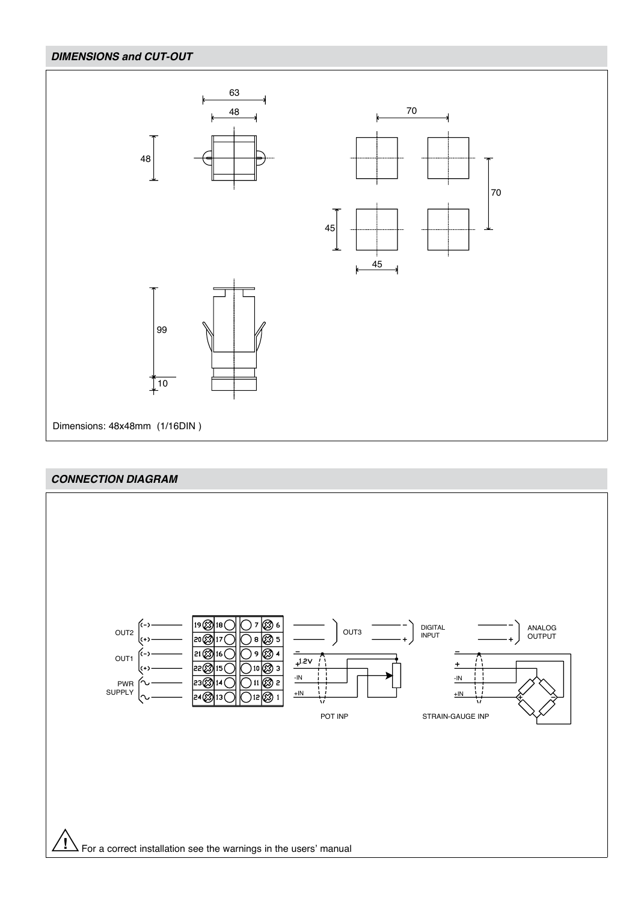# *DIMENSIONS and CUT-OUT*



### *CONNECTION DIAGRAM*